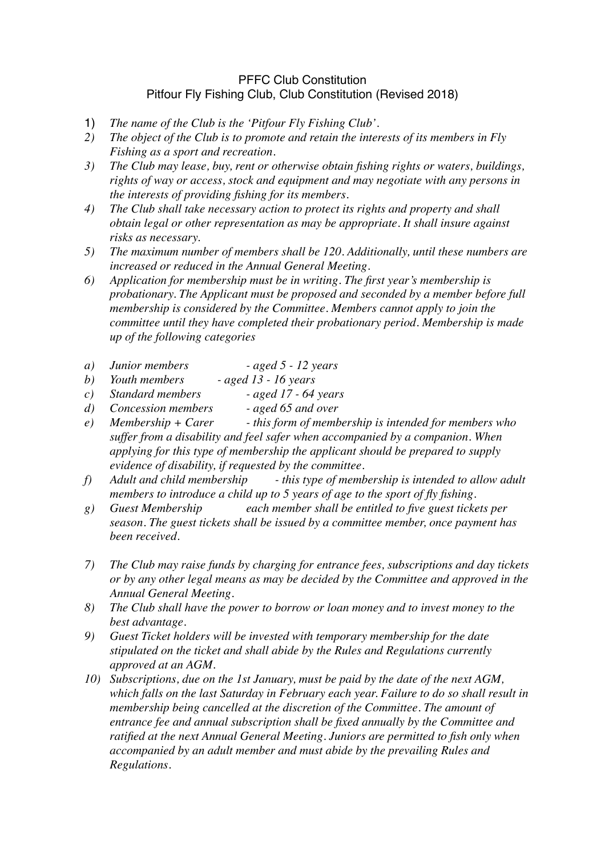## PFFC Club Constitution Pitfour Fly Fishing Club, Club Constitution (Revised 2018)

- 1) *The name of the Club is the 'Pitfour Fly Fishing Club'.*
- *2) The object of the Club is to promote and retain the interests of its members in Fly Fishing as a sport and recreation.*
- *3) The Club may lease, buy, rent or otherwise obtain fishing rights or waters, buildings, rights of way or access, stock and equipment and may negotiate with any persons in the interests of providing fishing for its members.*
- *4) The Club shall take necessary action to protect its rights and property and shall obtain legal or other representation as may be appropriate. It shall insure against risks as necessary.*
- *5) The maximum number of members shall be 120. Additionally, until these numbers are increased or reduced in the Annual General Meeting.*
- *6) Application for membership must be in writing. The first year's membership is probationary. The Applicant must be proposed and seconded by a member before full membership is considered by the Committee. Members cannot apply to join the committee until they have completed their probationary period. Membership is made up of the following categories*
- *a) Junior members aged 5 12 years*
- *b) Youth members aged 13 16 years*
- *c) Standard members aged 17 64 years*
- *d) Concession members aged 65 and over*
- *e) Membership + Carer this form of membership is intended for members who suffer from a disability and feel safer when accompanied by a companion. When applying for this type of membership the applicant should be prepared to supply evidence of disability, if requested by the committee.*
- *f*) Adult and child membership this type of membership is intended to allow adult *members to introduce a child up to 5 years of age to the sport of fly fishing.*
- *g) Guest Membership each member shall be entitled to five guest tickets per season. The guest tickets shall be issued by a committee member, once payment has been received.*
- *7) The Club may raise funds by charging for entrance fees, subscriptions and day tickets or by any other legal means as may be decided by the Committee and approved in the Annual General Meeting.*
- *8) The Club shall have the power to borrow or loan money and to invest money to the best advantage.*
- *9) Guest Ticket holders will be invested with temporary membership for the date stipulated on the ticket and shall abide by the Rules and Regulations currently approved at an AGM.*
- *10) Subscriptions, due on the 1st January, must be paid by the date of the next AGM, which falls on the last Saturday in February each year. Failure to do so shall result in membership being cancelled at the discretion of the Committee. The amount of entrance fee and annual subscription shall be fixed annually by the Committee and ratified at the next Annual General Meeting. Juniors are permitted to fish only when accompanied by an adult member and must abide by the prevailing Rules and Regulations.*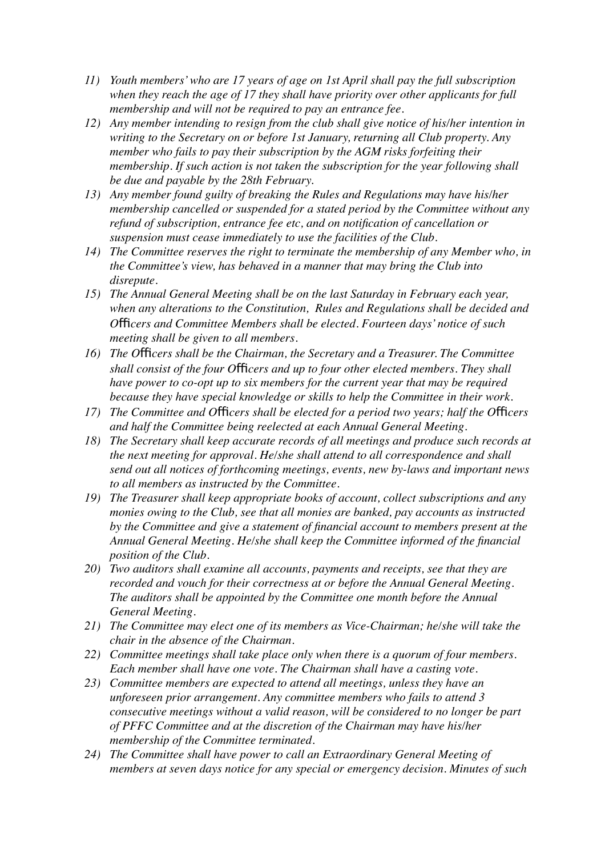- *11) Youth members' who are 17 years of age on 1st April shall pay the full subscription when they reach the age of 17 they shall have priority over other applicants for full membership and will not be required to pay an entrance fee.*
- *12) Any member intending to resign from the club shall give notice of his/her intention in writing to the Secretary on or before 1st January, returning all Club property. Any member who fails to pay their subscription by the AGM risks forfeiting their membership. If such action is not taken the subscription for the year following shall be due and payable by the 28th February.*
- *13) Any member found guilty of breaking the Rules and Regulations may have his/her membership cancelled or suspended for a stated period by the Committee without any refund of subscription, entrance fee etc, and on notification of cancellation or suspension must cease immediately to use the facilities of the Club.*
- *14) The Committee reserves the right to terminate the membership of any Member who, in the Committee's view, has behaved in a manner that may bring the Club into disrepute.*
- *15) The Annual General Meeting shall be on the last Saturday in February each year, when any alterations to the Constitution, Rules and Regulations shall be decided and O*f*cers and Committee Members shall be elected. Fourteen days' notice of such meeting shall be given to all members.*
- *16) The Officers shall be the Chairman, the Secretary and a Treasurer. The Committee shall consist of the four Officers and up to four other elected members. They shall have power to co-opt up to six members for the current year that may be required because they have special knowledge or skills to help the Committee in their work.*
- *17) The Committee and Officers shall be elected for a period two years; half the Officers and half the Committee being reelected at each Annual General Meeting.*
- *18) The Secretary shall keep accurate records of all meetings and produce such records at the next meeting for approval. He/she shall attend to all correspondence and shall send out all notices of forthcoming meetings, events, new by-laws and important news to all members as instructed by the Committee.*
- *19) The Treasurer shall keep appropriate books of account, collect subscriptions and any monies owing to the Club, see that all monies are banked, pay accounts as instructed by the Committee and give a statement of financial account to members present at the Annual General Meeting. He/she shall keep the Committee informed of the financial position of the Club.*
- *20) Two auditors shall examine all accounts, payments and receipts, see that they are recorded and vouch for their correctness at or before the Annual General Meeting. The auditors shall be appointed by the Committee one month before the Annual General Meeting.*
- *21) The Committee may elect one of its members as Vice-Chairman; he/she will take the chair in the absence of the Chairman.*
- *22) Committee meetings shall take place only when there is a quorum of four members. Each member shall have one vote. The Chairman shall have a casting vote.*
- *23) Committee members are expected to attend all meetings, unless they have an unforeseen prior arrangement. Any committee members who fails to attend 3 consecutive meetings without a valid reason, will be considered to no longer be part of PFFC Committee and at the discretion of the Chairman may have his/her membership of the Committee terminated.*
- *24) The Committee shall have power to call an Extraordinary General Meeting of members at seven days notice for any special or emergency decision. Minutes of such*